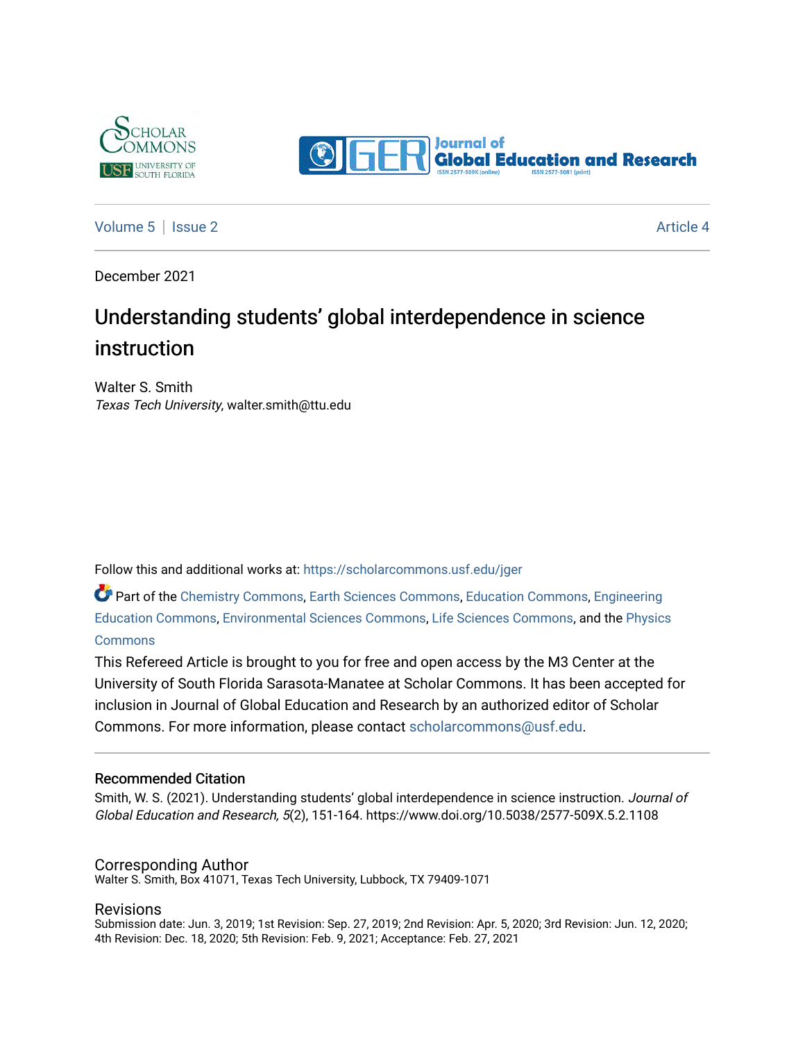



[Volume 5](https://scholarcommons.usf.edu/jger/vol5) | [Issue 2](https://scholarcommons.usf.edu/jger/vol5/iss2) Article 4

December 2021

# Understanding students' global interdependence in science instruction

Walter S. Smith Texas Tech University, walter.smith@ttu.edu

Follow this and additional works at: [https://scholarcommons.usf.edu/jger](https://scholarcommons.usf.edu/jger?utm_source=scholarcommons.usf.edu%2Fjger%2Fvol5%2Fiss2%2F4&utm_medium=PDF&utm_campaign=PDFCoverPages) 

Part of the [Chemistry Commons,](http://network.bepress.com/hgg/discipline/131?utm_source=scholarcommons.usf.edu%2Fjger%2Fvol5%2Fiss2%2F4&utm_medium=PDF&utm_campaign=PDFCoverPages) [Earth Sciences Commons](http://network.bepress.com/hgg/discipline/153?utm_source=scholarcommons.usf.edu%2Fjger%2Fvol5%2Fiss2%2F4&utm_medium=PDF&utm_campaign=PDFCoverPages), [Education Commons](http://network.bepress.com/hgg/discipline/784?utm_source=scholarcommons.usf.edu%2Fjger%2Fvol5%2Fiss2%2F4&utm_medium=PDF&utm_campaign=PDFCoverPages), [Engineering](http://network.bepress.com/hgg/discipline/1191?utm_source=scholarcommons.usf.edu%2Fjger%2Fvol5%2Fiss2%2F4&utm_medium=PDF&utm_campaign=PDFCoverPages) [Education Commons,](http://network.bepress.com/hgg/discipline/1191?utm_source=scholarcommons.usf.edu%2Fjger%2Fvol5%2Fiss2%2F4&utm_medium=PDF&utm_campaign=PDFCoverPages) [Environmental Sciences Commons](http://network.bepress.com/hgg/discipline/167?utm_source=scholarcommons.usf.edu%2Fjger%2Fvol5%2Fiss2%2F4&utm_medium=PDF&utm_campaign=PDFCoverPages), [Life Sciences Commons](http://network.bepress.com/hgg/discipline/1016?utm_source=scholarcommons.usf.edu%2Fjger%2Fvol5%2Fiss2%2F4&utm_medium=PDF&utm_campaign=PDFCoverPages), and the [Physics](http://network.bepress.com/hgg/discipline/193?utm_source=scholarcommons.usf.edu%2Fjger%2Fvol5%2Fiss2%2F4&utm_medium=PDF&utm_campaign=PDFCoverPages)  **[Commons](http://network.bepress.com/hgg/discipline/193?utm_source=scholarcommons.usf.edu%2Fjger%2Fvol5%2Fiss2%2F4&utm_medium=PDF&utm_campaign=PDFCoverPages)** 

This Refereed Article is brought to you for free and open access by the M3 Center at the University of South Florida Sarasota-Manatee at Scholar Commons. It has been accepted for inclusion in Journal of Global Education and Research by an authorized editor of Scholar Commons. For more information, please contact [scholarcommons@usf.edu](mailto:scholarcommons@usf.edu).

#### Recommended Citation

Smith, W. S. (2021). Understanding students' global interdependence in science instruction. Journal of Global Education and Research, 5(2), 151-164. https://www.doi.org/10.5038/2577-509X.5.2.1108

#### Corresponding Author

Walter S. Smith, Box 41071, Texas Tech University, Lubbock, TX 79409-1071

#### Revisions

Submission date: Jun. 3, 2019; 1st Revision: Sep. 27, 2019; 2nd Revision: Apr. 5, 2020; 3rd Revision: Jun. 12, 2020; 4th Revision: Dec. 18, 2020; 5th Revision: Feb. 9, 2021; Acceptance: Feb. 27, 2021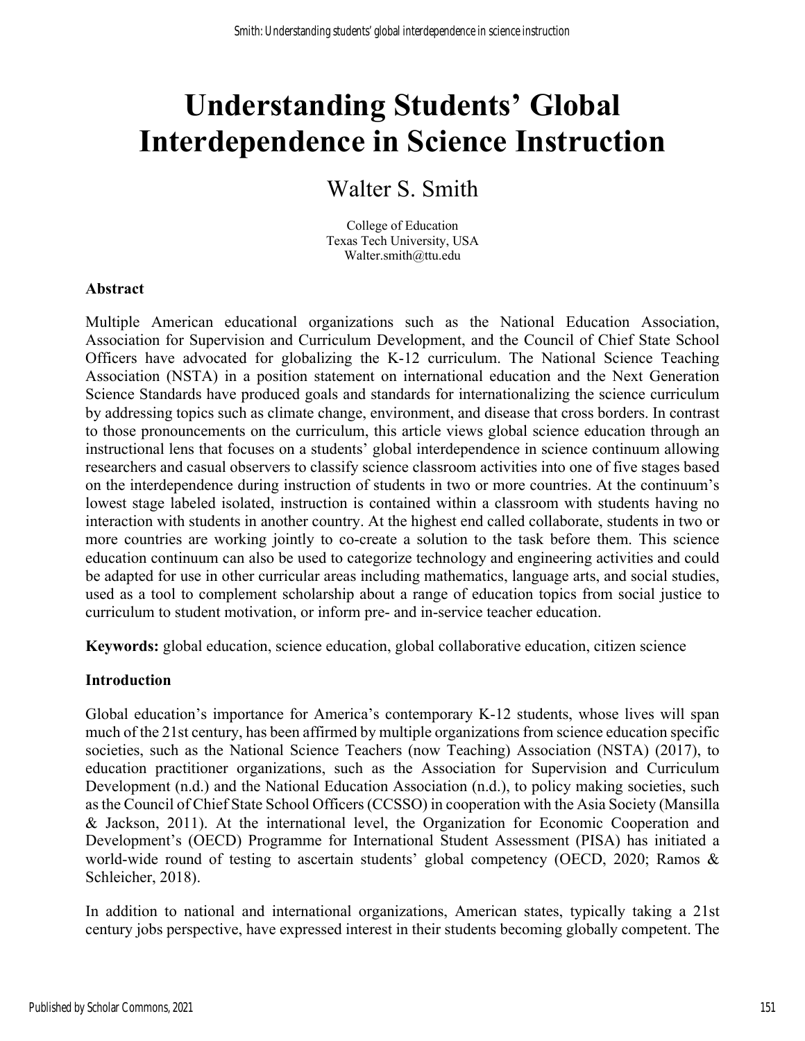# **Understanding Students' Global Interdependence in Science Instruction**

# Walter S. Smith

College of Education Texas Tech University, USA Walter.smith@ttu.edu

### **Abstract**

Multiple American educational organizations such as the National Education Association, Association for Supervision and Curriculum Development, and the Council of Chief State School Officers have advocated for globalizing the K-12 curriculum. The National Science Teaching Association (NSTA) in a position statement on international education and the Next Generation Science Standards have produced goals and standards for internationalizing the science curriculum by addressing topics such as climate change, environment, and disease that cross borders. In contrast to those pronouncements on the curriculum, this article views global science education through an instructional lens that focuses on a students' global interdependence in science continuum allowing researchers and casual observers to classify science classroom activities into one of five stages based on the interdependence during instruction of students in two or more countries. At the continuum's lowest stage labeled isolated, instruction is contained within a classroom with students having no interaction with students in another country. At the highest end called collaborate, students in two or more countries are working jointly to co-create a solution to the task before them. This science education continuum can also be used to categorize technology and engineering activities and could be adapted for use in other curricular areas including mathematics, language arts, and social studies, used as a tool to complement scholarship about a range of education topics from social justice to curriculum to student motivation, or inform pre- and in-service teacher education.

**Keywords:** global education, science education, global collaborative education, citizen science

# **Introduction**

Global education's importance for America's contemporary K-12 students, whose lives will span much of the 21st century, has been affirmed by multiple organizations from science education specific societies, such as the National Science Teachers (now Teaching) Association (NSTA) (2017), to education practitioner organizations, such as the Association for Supervision and Curriculum Development (n.d.) and the National Education Association (n.d.), to policy making societies, such as the Council of Chief State School Officers (CCSSO) in cooperation with the Asia Society (Mansilla & Jackson, 2011). At the international level, the Organization for Economic Cooperation and Development's (OECD) Programme for International Student Assessment (PISA) has initiated a world-wide round of testing to ascertain students' global competency (OECD, 2020; Ramos & Schleicher, 2018).

In addition to national and international organizations, American states, typically taking a 21st century jobs perspective, have expressed interest in their students becoming globally competent. The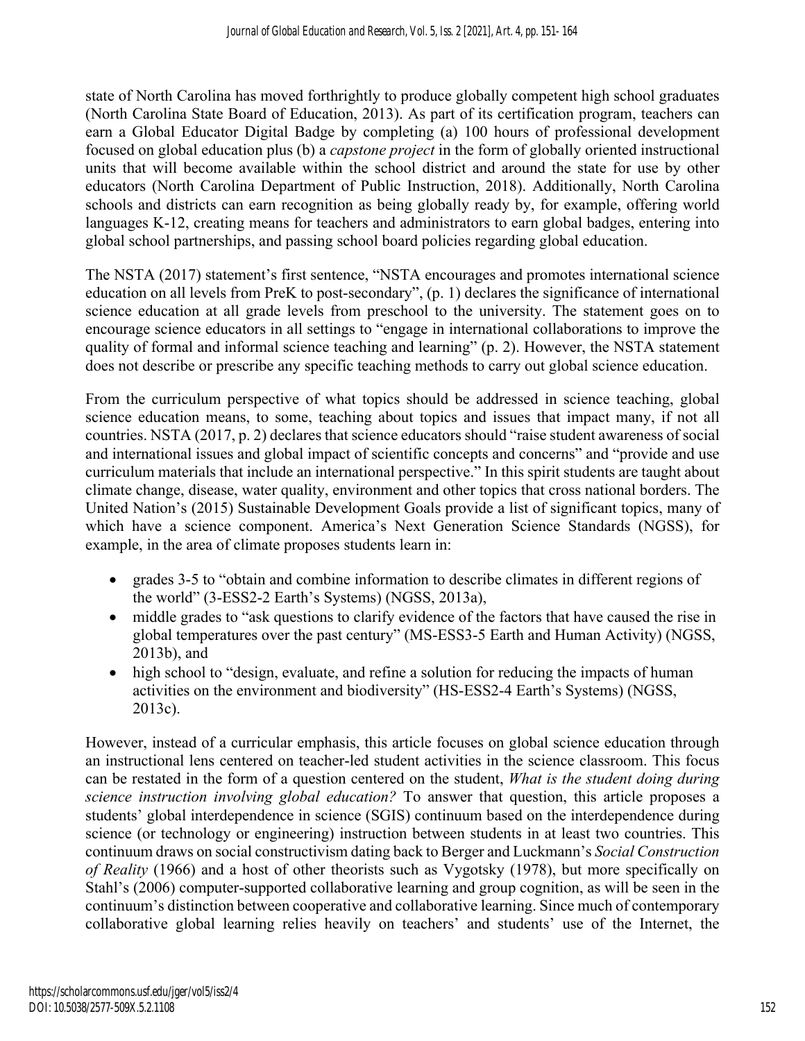state of North Carolina has moved forthrightly to produce globally competent high school graduates (North Carolina State Board of Education, 2013). As part of its certification program, teachers can earn a Global Educator Digital Badge by completing (a) 100 hours of professional development focused on global education plus (b) a *capstone project* in the form of globally oriented instructional units that will become available within the school district and around the state for use by other educators (North Carolina Department of Public Instruction, 2018). Additionally, North Carolina schools and districts can earn recognition as being globally ready by, for example, offering world languages K-12, creating means for teachers and administrators to earn global badges, entering into global school partnerships, and passing school board policies regarding global education.

The NSTA (2017) statement's first sentence, "NSTA encourages and promotes international science education on all levels from PreK to post-secondary", (p. 1) declares the significance of international science education at all grade levels from preschool to the university. The statement goes on to encourage science educators in all settings to "engage in international collaborations to improve the quality of formal and informal science teaching and learning" (p. 2). However, the NSTA statement does not describe or prescribe any specific teaching methods to carry out global science education.

From the curriculum perspective of what topics should be addressed in science teaching, global science education means, to some, teaching about topics and issues that impact many, if not all countries. NSTA (2017, p. 2) declares that science educators should "raise student awareness of social and international issues and global impact of scientific concepts and concerns" and "provide and use curriculum materials that include an international perspective." In this spirit students are taught about climate change, disease, water quality, environment and other topics that cross national borders. The United Nation's (2015) Sustainable Development Goals provide a list of significant topics, many of which have a science component. America's Next Generation Science Standards (NGSS), for example, in the area of climate proposes students learn in:

- grades 3-5 to "obtain and combine information to describe climates in different regions of the world" (3-ESS2-2 Earth's Systems) (NGSS, 2013a),
- middle grades to "ask questions to clarify evidence of the factors that have caused the rise in global temperatures over the past century" (MS-ESS3-5 Earth and Human Activity) (NGSS, 2013b), and
- high school to "design, evaluate, and refine a solution for reducing the impacts of human activities on the environment and biodiversity" (HS-ESS2-4 Earth's Systems) (NGSS, 2013c).

However, instead of a curricular emphasis, this article focuses on global science education through an instructional lens centered on teacher-led student activities in the science classroom. This focus can be restated in the form of a question centered on the student, *What is the student doing during science instruction involving global education?* To answer that question, this article proposes a students' global interdependence in science (SGIS) continuum based on the interdependence during science (or technology or engineering) instruction between students in at least two countries. This continuum draws on social constructivism dating back to Berger and Luckmann's *Social Construction of Reality* (1966) and a host of other theorists such as Vygotsky (1978), but more specifically on Stahl's (2006) computer-supported collaborative learning and group cognition, as will be seen in the continuum's distinction between cooperative and collaborative learning. Since much of contemporary collaborative global learning relies heavily on teachers' and students' use of the Internet, the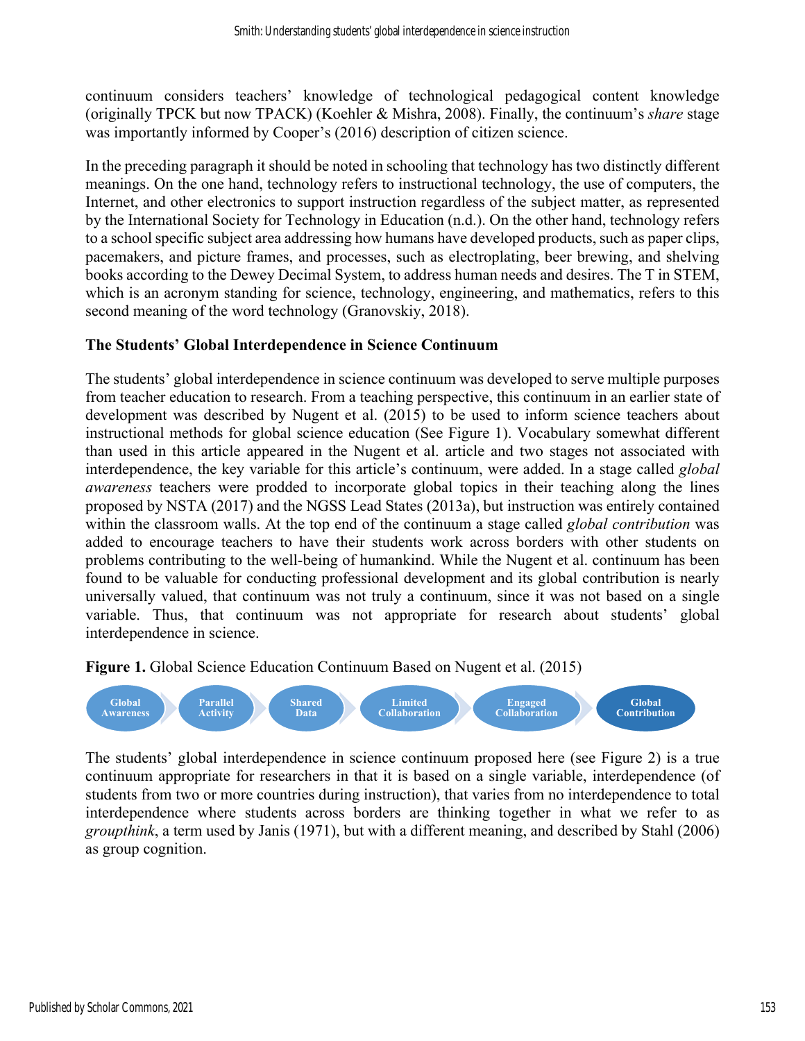continuum considers teachers' knowledge of technological pedagogical content knowledge (originally TPCK but now TPACK) (Koehler & Mishra, 2008). Finally, the continuum's *share* stage was importantly informed by Cooper's (2016) description of citizen science.

In the preceding paragraph it should be noted in schooling that technology has two distinctly different meanings. On the one hand, technology refers to instructional technology, the use of computers, the Internet, and other electronics to support instruction regardless of the subject matter, as represented by the International Society for Technology in Education (n.d.). On the other hand, technology refers to a school specific subject area addressing how humans have developed products, such as paper clips, pacemakers, and picture frames, and processes, such as electroplating, beer brewing, and shelving books according to the Dewey Decimal System, to address human needs and desires. The T in STEM, which is an acronym standing for science, technology, engineering, and mathematics, refers to this second meaning of the word technology (Granovskiy, 2018).

### **The Students' Global Interdependence in Science Continuum**

The students' global interdependence in science continuum was developed to serve multiple purposes from teacher education to research. From a teaching perspective, this continuum in an earlier state of development was described by Nugent et al. (2015) to be used to inform science teachers about instructional methods for global science education (See Figure 1). Vocabulary somewhat different than used in this article appeared in the Nugent et al. article and two stages not associated with interdependence, the key variable for this article's continuum, were added. In a stage called *global awareness* teachers were prodded to incorporate global topics in their teaching along the lines proposed by NSTA (2017) and the NGSS Lead States (2013a), but instruction was entirely contained within the classroom walls. At the top end of the continuum a stage called *global contribution* was added to encourage teachers to have their students work across borders with other students on problems contributing to the well-being of humankind. While the Nugent et al. continuum has been found to be valuable for conducting professional development and its global contribution is nearly universally valued, that continuum was not truly a continuum, since it was not based on a single variable. Thus, that continuum was not appropriate for research about students' global interdependence in science.

**Figure 1.** Global Science Education Continuum Based on Nugent et al. (2015)



The students' global interdependence in science continuum proposed here (see Figure 2) is a true continuum appropriate for researchers in that it is based on a single variable, interdependence (of students from two or more countries during instruction), that varies from no interdependence to total interdependence where students across borders are thinking together in what we refer to as *groupthink*, a term used by Janis (1971), but with a different meaning, and described by Stahl (2006) as group cognition.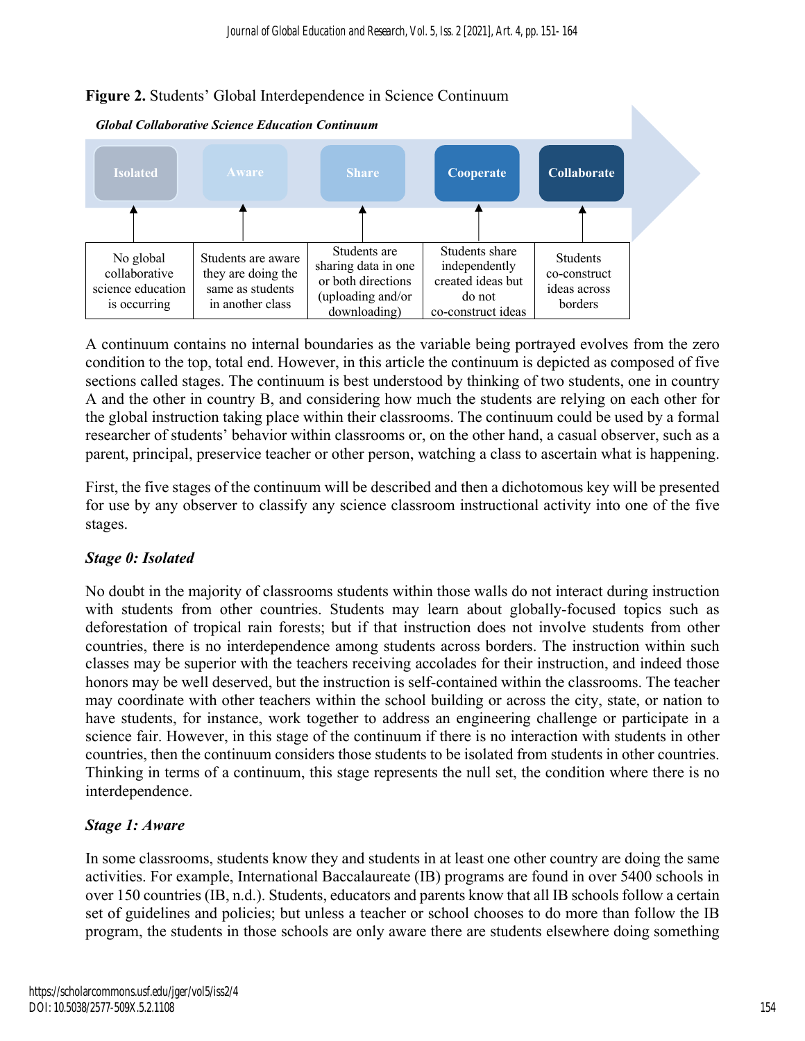



A continuum contains no internal boundaries as the variable being portrayed evolves from the zero condition to the top, total end. However, in this article the continuum is depicted as composed of five sections called stages. The continuum is best understood by thinking of two students, one in country A and the other in country B, and considering how much the students are relying on each other for the global instruction taking place within their classrooms. The continuum could be used by a formal researcher of students' behavior within classrooms or, on the other hand, a casual observer, such as a parent, principal, preservice teacher or other person, watching a class to ascertain what is happening.

First, the five stages of the continuum will be described and then a dichotomous key will be presented for use by any observer to classify any science classroom instructional activity into one of the five stages.

# *Stage 0: Isolated*

No doubt in the majority of classrooms students within those walls do not interact during instruction with students from other countries. Students may learn about globally-focused topics such as deforestation of tropical rain forests; but if that instruction does not involve students from other countries, there is no interdependence among students across borders. The instruction within such classes may be superior with the teachers receiving accolades for their instruction, and indeed those honors may be well deserved, but the instruction is self-contained within the classrooms. The teacher may coordinate with other teachers within the school building or across the city, state, or nation to have students, for instance, work together to address an engineering challenge or participate in a science fair. However, in this stage of the continuum if there is no interaction with students in other countries, then the continuum considers those students to be isolated from students in other countries. Thinking in terms of a continuum, this stage represents the null set, the condition where there is no interdependence.

# *Stage 1: Aware*

In some classrooms, students know they and students in at least one other country are doing the same activities. For example, International Baccalaureate (IB) programs are found in over 5400 schools in over 150 countries (IB, n.d.). Students, educators and parents know that all IB schools follow a certain set of guidelines and policies; but unless a teacher or school chooses to do more than follow the IB program, the students in those schools are only aware there are students elsewhere doing something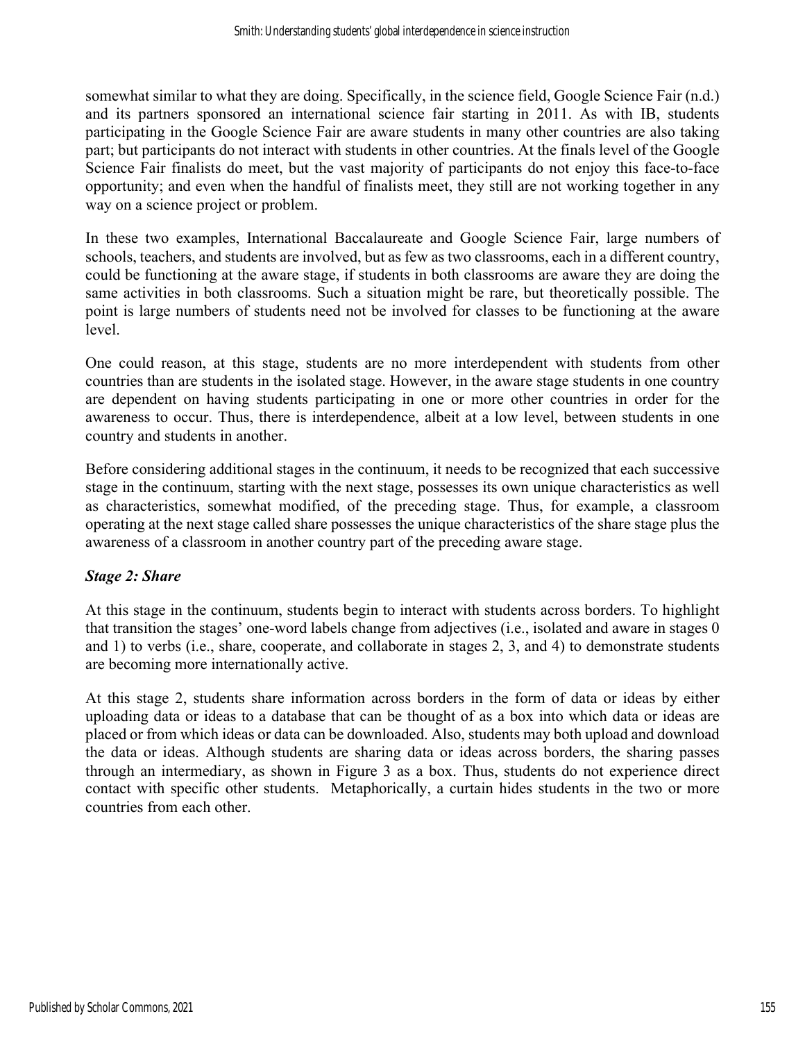somewhat similar to what they are doing. Specifically, in the science field, Google Science Fair (n.d.) and its partners sponsored an international science fair starting in 2011. As with IB, students participating in the Google Science Fair are aware students in many other countries are also taking part; but participants do not interact with students in other countries. At the finals level of the Google Science Fair finalists do meet, but the vast majority of participants do not enjoy this face-to-face opportunity; and even when the handful of finalists meet, they still are not working together in any way on a science project or problem.

In these two examples, International Baccalaureate and Google Science Fair, large numbers of schools, teachers, and students are involved, but as few as two classrooms, each in a different country, could be functioning at the aware stage, if students in both classrooms are aware they are doing the same activities in both classrooms. Such a situation might be rare, but theoretically possible. The point is large numbers of students need not be involved for classes to be functioning at the aware level.

One could reason, at this stage, students are no more interdependent with students from other countries than are students in the isolated stage. However, in the aware stage students in one country are dependent on having students participating in one or more other countries in order for the awareness to occur. Thus, there is interdependence, albeit at a low level, between students in one country and students in another.

Before considering additional stages in the continuum, it needs to be recognized that each successive stage in the continuum, starting with the next stage, possesses its own unique characteristics as well as characteristics, somewhat modified, of the preceding stage. Thus, for example, a classroom operating at the next stage called share possesses the unique characteristics of the share stage plus the awareness of a classroom in another country part of the preceding aware stage.

# *Stage 2: Share*

At this stage in the continuum, students begin to interact with students across borders. To highlight that transition the stages' one-word labels change from adjectives (i.e., isolated and aware in stages 0 and 1) to verbs (i.e., share, cooperate, and collaborate in stages 2, 3, and 4) to demonstrate students are becoming more internationally active.

At this stage 2, students share information across borders in the form of data or ideas by either uploading data or ideas to a database that can be thought of as a box into which data or ideas are placed or from which ideas or data can be downloaded. Also, students may both upload and download the data or ideas. Although students are sharing data or ideas across borders, the sharing passes through an intermediary, as shown in Figure 3 as a box. Thus, students do not experience direct contact with specific other students. Metaphorically, a curtain hides students in the two or more countries from each other.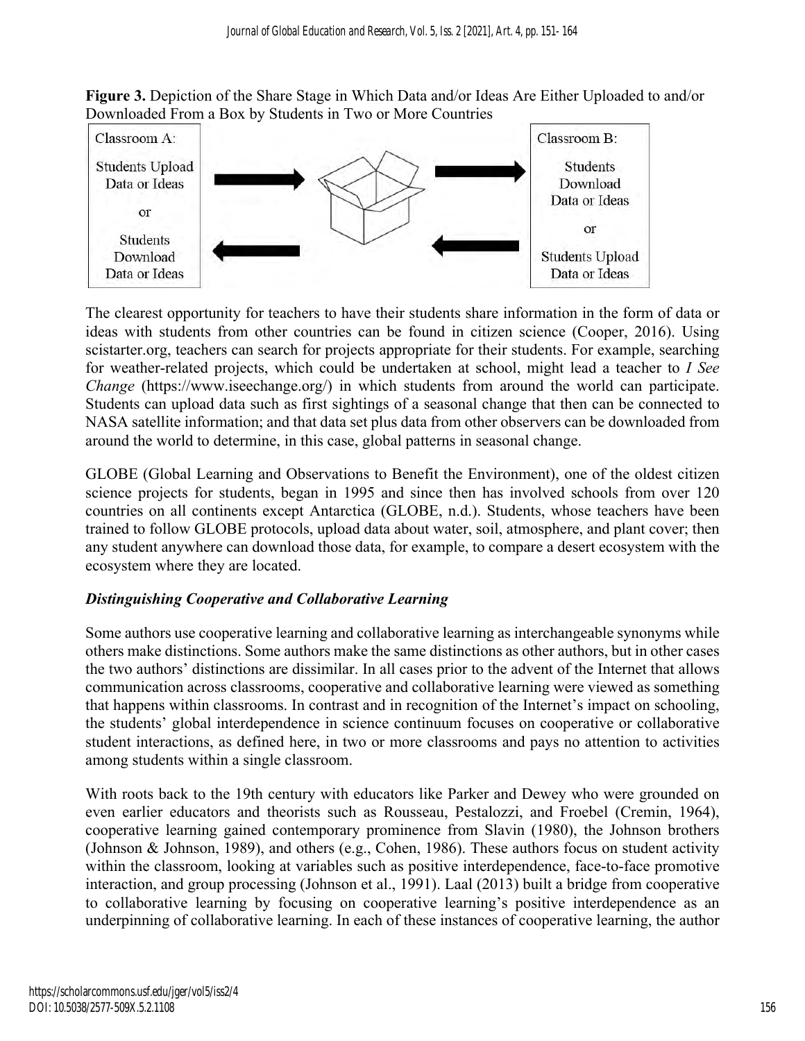**Figure 3.** Depiction of the Share Stage in Which Data and/or Ideas Are Either Uploaded to and/or Downloaded From a Box by Students in Two or More Countries



The clearest opportunity for teachers to have their students share information in the form of data or ideas with students from other countries can be found in citizen science (Cooper, 2016). Using scistarter.org, teachers can search for projects appropriate for their students. For example, searching for weather-related projects, which could be undertaken at school, might lead a teacher to *I See Change* (https://www.iseechange.org/) in which students from around the world can participate. Students can upload data such as first sightings of a seasonal change that then can be connected to NASA satellite information; and that data set plus data from other observers can be downloaded from around the world to determine, in this case, global patterns in seasonal change.

GLOBE (Global Learning and Observations to Benefit the Environment), one of the oldest citizen science projects for students, began in 1995 and since then has involved schools from over 120 countries on all continents except Antarctica (GLOBE, n.d.). Students, whose teachers have been trained to follow GLOBE protocols, upload data about water, soil, atmosphere, and plant cover; then any student anywhere can download those data, for example, to compare a desert ecosystem with the ecosystem where they are located.

# *Distinguishing Cooperative and Collaborative Learning*

Some authors use cooperative learning and collaborative learning as interchangeable synonyms while others make distinctions. Some authors make the same distinctions as other authors, but in other cases the two authors' distinctions are dissimilar. In all cases prior to the advent of the Internet that allows communication across classrooms, cooperative and collaborative learning were viewed as something that happens within classrooms. In contrast and in recognition of the Internet's impact on schooling, the students' global interdependence in science continuum focuses on cooperative or collaborative student interactions, as defined here, in two or more classrooms and pays no attention to activities among students within a single classroom.

With roots back to the 19th century with educators like Parker and Dewey who were grounded on even earlier educators and theorists such as Rousseau, Pestalozzi, and Froebel (Cremin, 1964), cooperative learning gained contemporary prominence from Slavin (1980), the Johnson brothers (Johnson & Johnson, 1989), and others (e.g., Cohen, 1986). These authors focus on student activity within the classroom, looking at variables such as positive interdependence, face-to-face promotive interaction, and group processing (Johnson et al., 1991). Laal (2013) built a bridge from cooperative to collaborative learning by focusing on cooperative learning's positive interdependence as an underpinning of collaborative learning. In each of these instances of cooperative learning, the author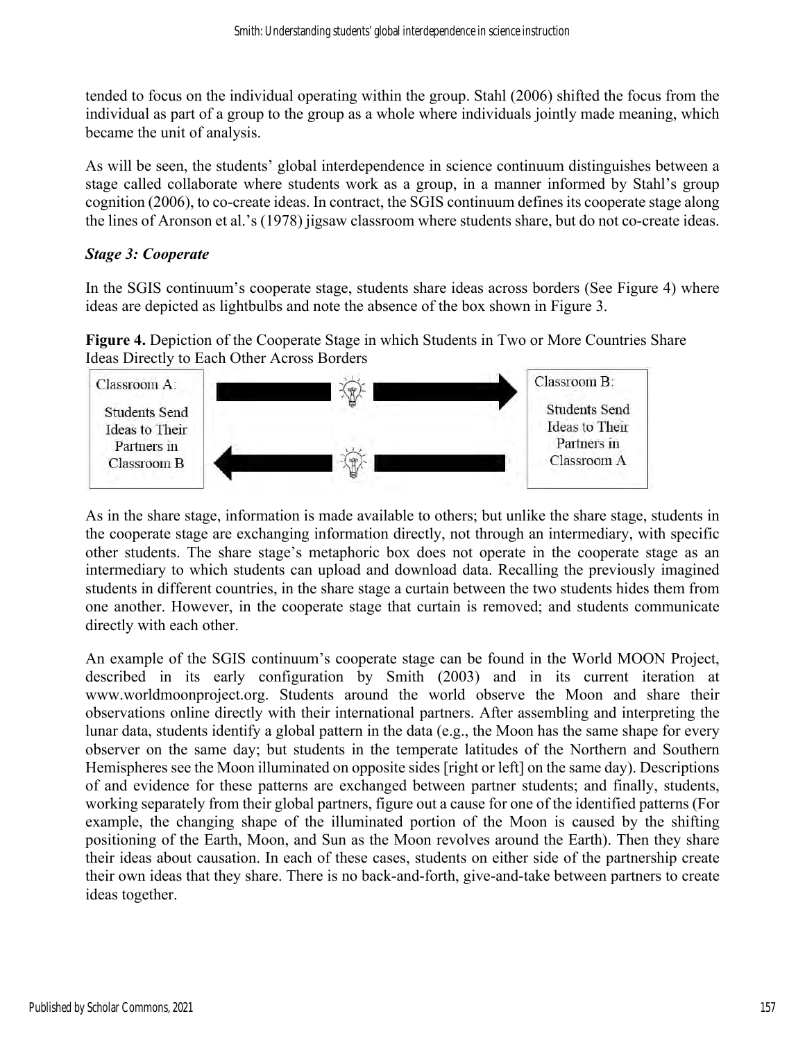tended to focus on the individual operating within the group. Stahl (2006) shifted the focus from the individual as part of a group to the group as a whole where individuals jointly made meaning, which became the unit of analysis.

As will be seen, the students' global interdependence in science continuum distinguishes between a stage called collaborate where students work as a group, in a manner informed by Stahl's group cognition (2006), to co-create ideas. In contract, the SGIS continuum defines its cooperate stage along the lines of Aronson et al.'s (1978) jigsaw classroom where students share, but do not co-create ideas.

# *Stage 3: Cooperate*

In the SGIS continuum's cooperate stage, students share ideas across borders (See Figure 4) where ideas are depicted as lightbulbs and note the absence of the box shown in Figure 3.

**Figure 4.** Depiction of the Cooperate Stage in which Students in Two or More Countries Share Ideas Directly to Each Other Across Borders



As in the share stage, information is made available to others; but unlike the share stage, students in the cooperate stage are exchanging information directly, not through an intermediary, with specific other students. The share stage's metaphoric box does not operate in the cooperate stage as an intermediary to which students can upload and download data. Recalling the previously imagined students in different countries, in the share stage a curtain between the two students hides them from one another. However, in the cooperate stage that curtain is removed; and students communicate directly with each other.

An example of the SGIS continuum's cooperate stage can be found in the World MOON Project, described in its early configuration by Smith (2003) and in its current iteration at www.worldmoonproject.org. Students around the world observe the Moon and share their observations online directly with their international partners. After assembling and interpreting the lunar data, students identify a global pattern in the data (e.g., the Moon has the same shape for every observer on the same day; but students in the temperate latitudes of the Northern and Southern Hemispheres see the Moon illuminated on opposite sides [right or left] on the same day). Descriptions of and evidence for these patterns are exchanged between partner students; and finally, students, working separately from their global partners, figure out a cause for one of the identified patterns (For example, the changing shape of the illuminated portion of the Moon is caused by the shifting positioning of the Earth, Moon, and Sun as the Moon revolves around the Earth). Then they share their ideas about causation. In each of these cases, students on either side of the partnership create their own ideas that they share. There is no back-and-forth, give-and-take between partners to create ideas together.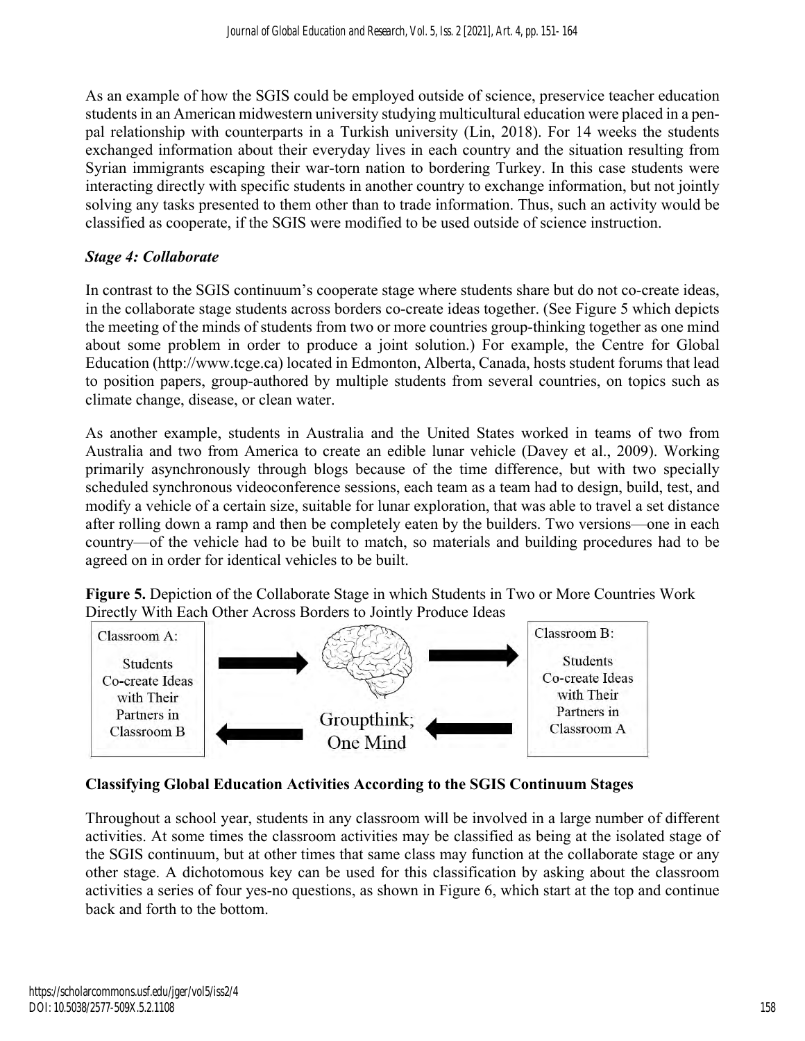As an example of how the SGIS could be employed outside of science, preservice teacher education students in an American midwestern university studying multicultural education were placed in a penpal relationship with counterparts in a Turkish university (Lin, 2018). For 14 weeks the students exchanged information about their everyday lives in each country and the situation resulting from Syrian immigrants escaping their war-torn nation to bordering Turkey. In this case students were interacting directly with specific students in another country to exchange information, but not jointly solving any tasks presented to them other than to trade information. Thus, such an activity would be classified as cooperate, if the SGIS were modified to be used outside of science instruction.

# *Stage 4: Collaborate*

In contrast to the SGIS continuum's cooperate stage where students share but do not co-create ideas, in the collaborate stage students across borders co-create ideas together. (See Figure 5 which depicts the meeting of the minds of students from two or more countries group-thinking together as one mind about some problem in order to produce a joint solution.) For example, the Centre for Global Education (http://www.tcge.ca) located in Edmonton, Alberta, Canada, hosts student forums that lead to position papers, group-authored by multiple students from several countries, on topics such as climate change, disease, or clean water.

As another example, students in Australia and the United States worked in teams of two from Australia and two from America to create an edible lunar vehicle (Davey et al., 2009). Working primarily asynchronously through blogs because of the time difference, but with two specially scheduled synchronous videoconference sessions, each team as a team had to design, build, test, and modify a vehicle of a certain size, suitable for lunar exploration, that was able to travel a set distance after rolling down a ramp and then be completely eaten by the builders. Two versions—one in each country—of the vehicle had to be built to match, so materials and building procedures had to be agreed on in order for identical vehicles to be built.

**Figure 5.** Depiction of the Collaborate Stage in which Students in Two or More Countries Work Directly With Each Other Across Borders to Jointly Produce Ideas



# **Classifying Global Education Activities According to the SGIS Continuum Stages**

Throughout a school year, students in any classroom will be involved in a large number of different activities. At some times the classroom activities may be classified as being at the isolated stage of the SGIS continuum, but at other times that same class may function at the collaborate stage or any other stage. A dichotomous key can be used for this classification by asking about the classroom activities a series of four yes-no questions, as shown in Figure 6, which start at the top and continue back and forth to the bottom.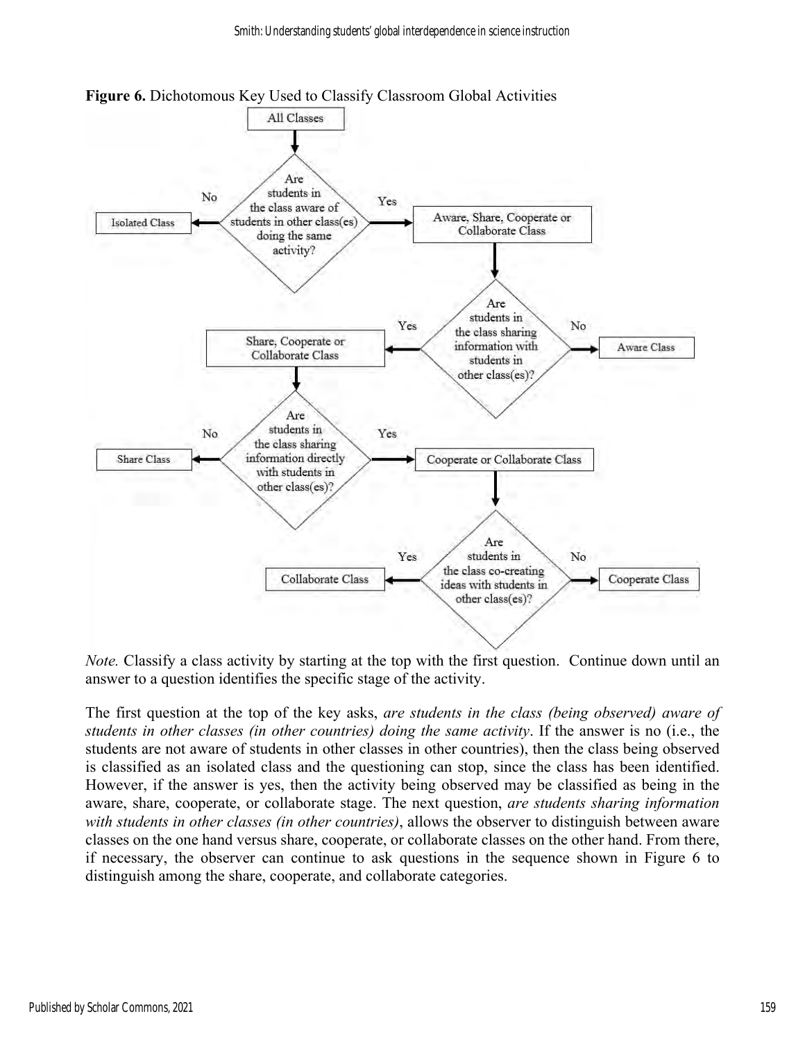

**Figure 6.** Dichotomous Key Used to Classify Classroom Global Activities

*Note.* Classify a class activity by starting at the top with the first question. Continue down until an answer to a question identifies the specific stage of the activity.

The first question at the top of the key asks, *are students in the class (being observed) aware of students in other classes (in other countries) doing the same activity*. If the answer is no (i.e., the students are not aware of students in other classes in other countries), then the class being observed is classified as an isolated class and the questioning can stop, since the class has been identified. However, if the answer is yes, then the activity being observed may be classified as being in the aware, share, cooperate, or collaborate stage. The next question, *are students sharing information with students in other classes (in other countries)*, allows the observer to distinguish between aware classes on the one hand versus share, cooperate, or collaborate classes on the other hand. From there, if necessary, the observer can continue to ask questions in the sequence shown in Figure 6 to distinguish among the share, cooperate, and collaborate categories.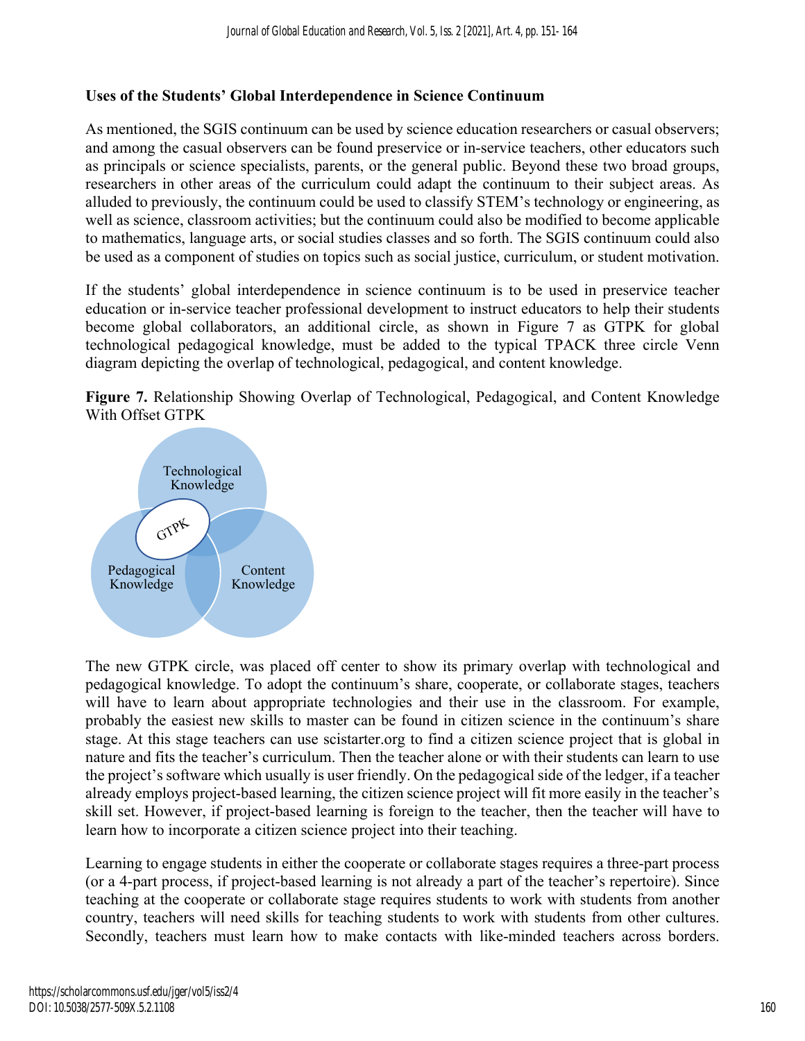# **Uses of the Students' Global Interdependence in Science Continuum**

As mentioned, the SGIS continuum can be used by science education researchers or casual observers; and among the casual observers can be found preservice or in-service teachers, other educators such as principals or science specialists, parents, or the general public. Beyond these two broad groups, researchers in other areas of the curriculum could adapt the continuum to their subject areas. As alluded to previously, the continuum could be used to classify STEM's technology or engineering, as well as science, classroom activities; but the continuum could also be modified to become applicable to mathematics, language arts, or social studies classes and so forth. The SGIS continuum could also be used as a component of studies on topics such as social justice, curriculum, or student motivation.

If the students' global interdependence in science continuum is to be used in preservice teacher education or in-service teacher professional development to instruct educators to help their students become global collaborators, an additional circle, as shown in Figure 7 as GTPK for global technological pedagogical knowledge, must be added to the typical TPACK three circle Venn diagram depicting the overlap of technological, pedagogical, and content knowledge.





The new GTPK circle, was placed off center to show its primary overlap with technological and pedagogical knowledge. To adopt the continuum's share, cooperate, or collaborate stages, teachers will have to learn about appropriate technologies and their use in the classroom. For example, probably the easiest new skills to master can be found in citizen science in the continuum's share stage. At this stage teachers can use scistarter.org to find a citizen science project that is global in nature and fits the teacher's curriculum. Then the teacher alone or with their students can learn to use the project's software which usually is user friendly. On the pedagogical side of the ledger, if a teacher already employs project-based learning, the citizen science project will fit more easily in the teacher's skill set. However, if project-based learning is foreign to the teacher, then the teacher will have to learn how to incorporate a citizen science project into their teaching.

Learning to engage students in either the cooperate or collaborate stages requires a three-part process (or a 4-part process, if project-based learning is not already a part of the teacher's repertoire). Since teaching at the cooperate or collaborate stage requires students to work with students from another country, teachers will need skills for teaching students to work with students from other cultures. Secondly, teachers must learn how to make contacts with like-minded teachers across borders.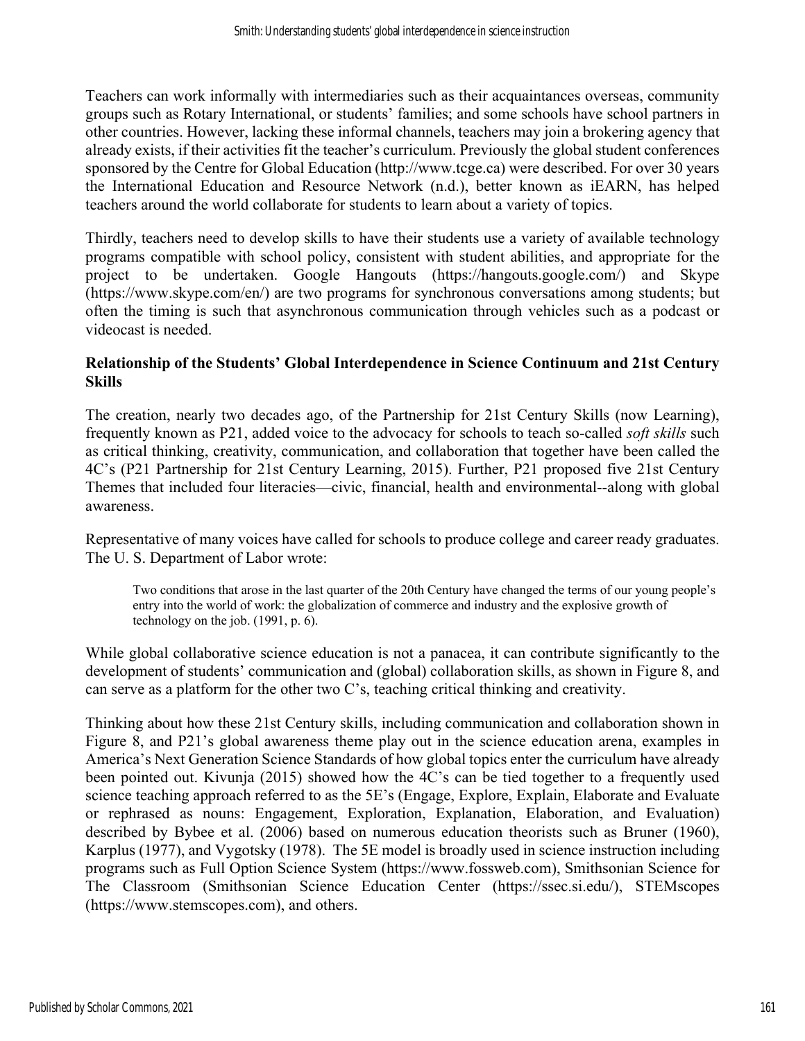Teachers can work informally with intermediaries such as their acquaintances overseas, community groups such as Rotary International, or students' families; and some schools have school partners in other countries. However, lacking these informal channels, teachers may join a brokering agency that already exists, if their activities fit the teacher's curriculum. Previously the global student conferences sponsored by the Centre for Global Education (http://www.tcge.ca) were described. For over 30 years the International Education and Resource Network (n.d.), better known as iEARN, has helped teachers around the world collaborate for students to learn about a variety of topics.

Thirdly, teachers need to develop skills to have their students use a variety of available technology programs compatible with school policy, consistent with student abilities, and appropriate for the project to be undertaken. Google Hangouts (https://hangouts.google.com/) and Skype (https://www.skype.com/en/) are two programs for synchronous conversations among students; but often the timing is such that asynchronous communication through vehicles such as a podcast or videocast is needed.

#### **Relationship of the Students' Global Interdependence in Science Continuum and 21st Century Skills**

The creation, nearly two decades ago, of the Partnership for 21st Century Skills (now Learning), frequently known as P21, added voice to the advocacy for schools to teach so-called *soft skills* such as critical thinking, creativity, communication, and collaboration that together have been called the 4C's (P21 Partnership for 21st Century Learning, 2015). Further, P21 proposed five 21st Century Themes that included four literacies—civic, financial, health and environmental--along with global awareness.

Representative of many voices have called for schools to produce college and career ready graduates. The U. S. Department of Labor wrote:

Two conditions that arose in the last quarter of the 20th Century have changed the terms of our young people's entry into the world of work: the globalization of commerce and industry and the explosive growth of technology on the job. (1991, p. 6).

While global collaborative science education is not a panacea, it can contribute significantly to the development of students' communication and (global) collaboration skills, as shown in Figure 8, and can serve as a platform for the other two  $C$ 's, teaching critical thinking and creativity.

Thinking about how these 21st Century skills, including communication and collaboration shown in Figure 8, and P21's global awareness theme play out in the science education arena, examples in America's Next Generation Science Standards of how global topics enter the curriculum have already been pointed out. Kivunja (2015) showed how the 4C's can be tied together to a frequently used science teaching approach referred to as the 5E's (Engage, Explore, Explain, Elaborate and Evaluate or rephrased as nouns: Engagement, Exploration, Explanation, Elaboration, and Evaluation) described by Bybee et al. (2006) based on numerous education theorists such as Bruner (1960), Karplus (1977), and Vygotsky (1978). The 5E model is broadly used in science instruction including programs such as Full Option Science System (https://www.fossweb.com), Smithsonian Science for The Classroom (Smithsonian Science Education Center (https://ssec.si.edu/), STEMscopes (https://www.stemscopes.com), and others.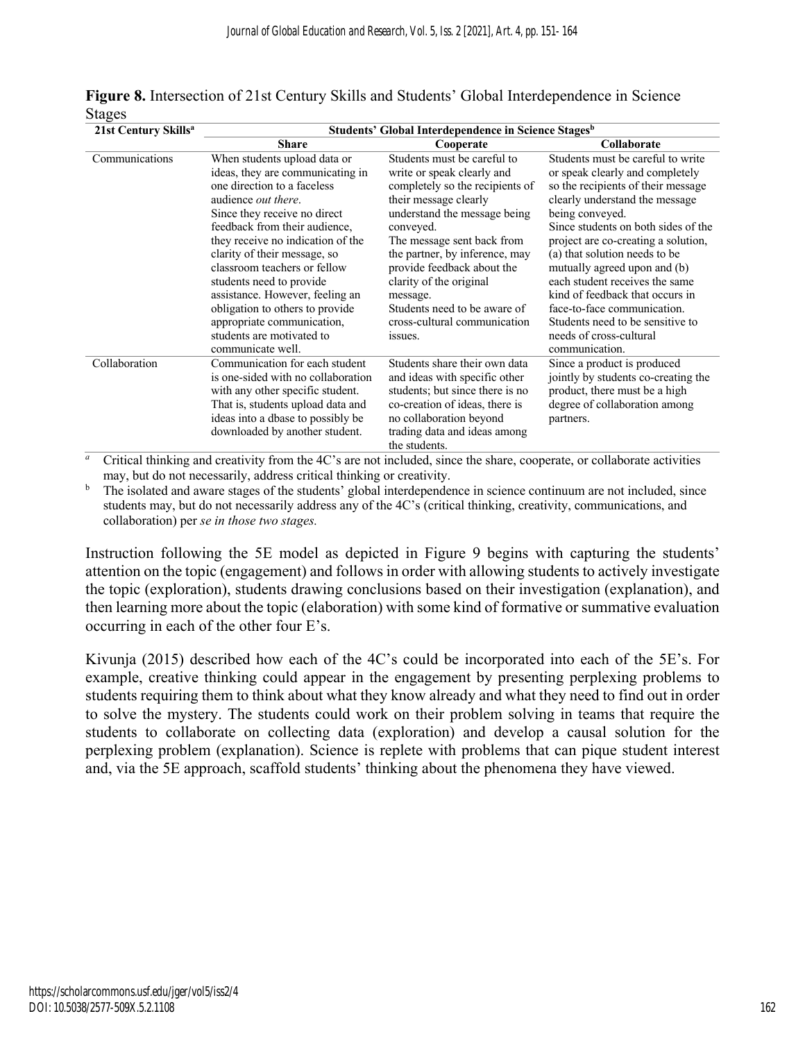| $-1$<br>21st Century Skills <sup>a</sup> | Students' Global Interdependence in Science Stages <sup>b</sup>                                                                                                                                                                                                                                                                                                                                                                                                                        |                                                                                                                                                                                                                                                                                                                                                                                    |                                                                                                                                                                                                                                                                                                                                                                                                                                                                                                     |
|------------------------------------------|----------------------------------------------------------------------------------------------------------------------------------------------------------------------------------------------------------------------------------------------------------------------------------------------------------------------------------------------------------------------------------------------------------------------------------------------------------------------------------------|------------------------------------------------------------------------------------------------------------------------------------------------------------------------------------------------------------------------------------------------------------------------------------------------------------------------------------------------------------------------------------|-----------------------------------------------------------------------------------------------------------------------------------------------------------------------------------------------------------------------------------------------------------------------------------------------------------------------------------------------------------------------------------------------------------------------------------------------------------------------------------------------------|
|                                          | <b>Share</b>                                                                                                                                                                                                                                                                                                                                                                                                                                                                           | Cooperate                                                                                                                                                                                                                                                                                                                                                                          | Collaborate                                                                                                                                                                                                                                                                                                                                                                                                                                                                                         |
| Communications                           | When students upload data or<br>ideas, they are communicating in<br>one direction to a faceless<br>audience <i>out there</i> .<br>Since they receive no direct<br>feedback from their audience,<br>they receive no indication of the<br>clarity of their message, so<br>classroom teachers or fellow<br>students need to provide<br>assistance. However, feeling an<br>obligation to others to provide<br>appropriate communication,<br>students are motivated to<br>communicate well. | Students must be careful to<br>write or speak clearly and<br>completely so the recipients of<br>their message clearly<br>understand the message being<br>conveyed.<br>The message sent back from<br>the partner, by inference, may<br>provide feedback about the<br>clarity of the original<br>message.<br>Students need to be aware of<br>cross-cultural communication<br>issues. | Students must be careful to write<br>or speak clearly and completely<br>so the recipients of their message<br>clearly understand the message<br>being conveyed.<br>Since students on both sides of the<br>project are co-creating a solution,<br>(a) that solution needs to be<br>mutually agreed upon and (b)<br>each student receives the same<br>kind of feedback that occurs in<br>face-to-face communication.<br>Students need to be sensitive to<br>needs of cross-cultural<br>communication. |
| Collaboration                            | Communication for each student<br>is one-sided with no collaboration<br>with any other specific student.<br>That is, students upload data and<br>ideas into a dbase to possibly be<br>downloaded by another student.                                                                                                                                                                                                                                                                   | Students share their own data<br>and ideas with specific other<br>students; but since there is no<br>co-creation of ideas, there is<br>no collaboration beyond<br>trading data and ideas among<br>the students.                                                                                                                                                                    | Since a product is produced<br>jointly by students co-creating the<br>product, there must be a high<br>degree of collaboration among<br>partners.                                                                                                                                                                                                                                                                                                                                                   |

**Figure 8.** Intersection of 21st Century Skills and Students' Global Interdependence in Science Stages

<sup>*a*</sup> Critical thinking and creativity from the 4C's are not included, since the share, cooperate, or collaborate activities may, but do not necessarily, address critical thinking or creativity.

<sup>b</sup> The isolated and aware stages of the students' global interdependence in science continuum are not included, since students may, but do not necessarily address any of the 4C's (critical thinking, creativity, communications, and collaboration) per *se in those two stages.*

Instruction following the 5E model as depicted in Figure 9 begins with capturing the students' attention on the topic (engagement) and follows in order with allowing students to actively investigate the topic (exploration), students drawing conclusions based on their investigation (explanation), and then learning more about the topic (elaboration) with some kind of formative or summative evaluation occurring in each of the other four E's.

Kivunja (2015) described how each of the 4C's could be incorporated into each of the 5E's. For example, creative thinking could appear in the engagement by presenting perplexing problems to students requiring them to think about what they know already and what they need to find out in order to solve the mystery. The students could work on their problem solving in teams that require the students to collaborate on collecting data (exploration) and develop a causal solution for the perplexing problem (explanation). Science is replete with problems that can pique student interest and, via the 5E approach, scaffold students' thinking about the phenomena they have viewed.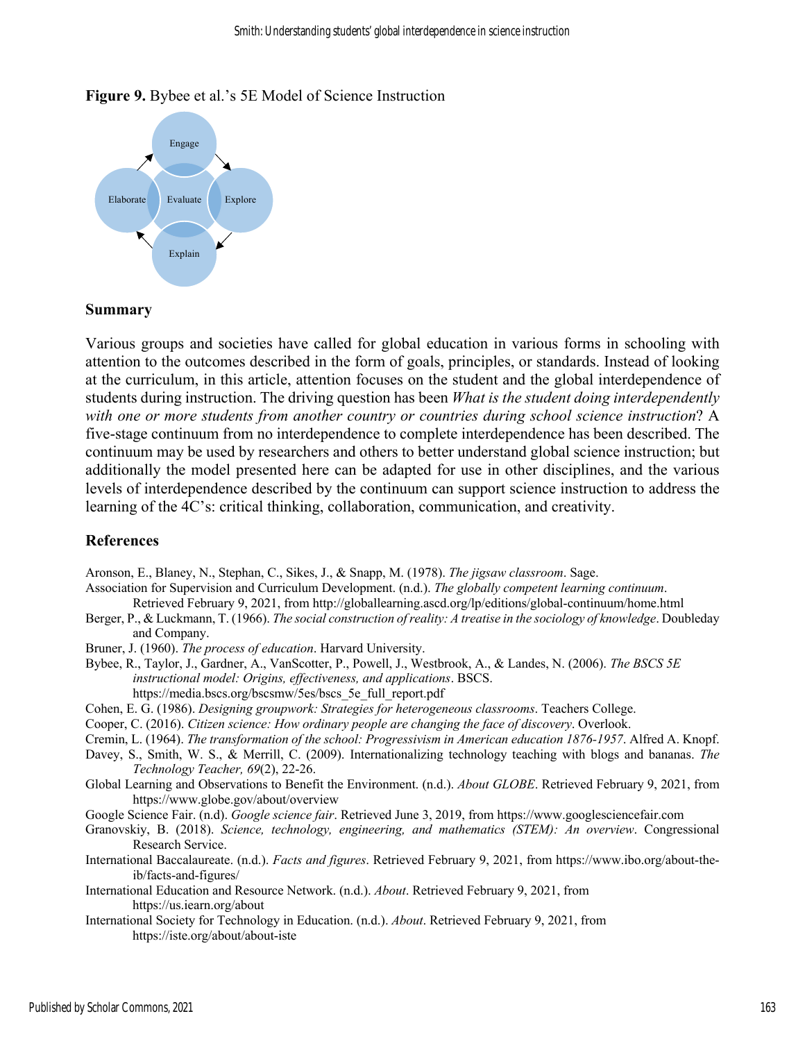#### **Figure 9.** Bybee et al.'s 5E Model of Science Instruction



#### **Summary**

Various groups and societies have called for global education in various forms in schooling with attention to the outcomes described in the form of goals, principles, or standards. Instead of looking at the curriculum, in this article, attention focuses on the student and the global interdependence of students during instruction. The driving question has been *What is the student doing interdependently with one or more students from another country or countries during school science instruction*? A five-stage continuum from no interdependence to complete interdependence has been described. The continuum may be used by researchers and others to better understand global science instruction; but additionally the model presented here can be adapted for use in other disciplines, and the various levels of interdependence described by the continuum can support science instruction to address the learning of the 4C's: critical thinking, collaboration, communication, and creativity.

#### **References**

Aronson, E., Blaney, N., Stephan, C., Sikes, J., & Snapp, M. (1978). *The jigsaw classroom*. Sage.

Association for Supervision and Curriculum Development. (n.d.). *The globally competent learning continuum*.

- Retrieved February 9, 2021, from http://globallearning.ascd.org/lp/editions/global-continuum/home.html
- Berger, P., & Luckmann, T. (1966). *The social construction of reality: A treatise in the sociology of knowledge*. Doubleday and Company.

Bruner, J. (1960). *The process of education*. Harvard University.

Bybee, R., Taylor, J., Gardner, A., VanScotter, P., Powell, J., Westbrook, A., & Landes, N. (2006). *The BSCS 5E instructional model: Origins, effectiveness, and applications*. BSCS. https://media.bscs.org/bscsmw/5es/bscs\_5e\_full\_report.pdf

Cohen, E. G. (1986). *Designing groupwork: Strategies for heterogeneous classrooms*. Teachers College.

Cooper, C. (2016). *Citizen science: How ordinary people are changing the face of discovery*. Overlook.

Cremin, L. (1964). *The transformation of the school: Progressivism in American education 1876-1957*. Alfred A. Knopf.

Davey, S., Smith, W. S., & Merrill, C. (2009). Internationalizing technology teaching with blogs and bananas. *The Technology Teacher, 69*(2), 22-26.

Global Learning and Observations to Benefit the Environment. (n.d.). *About GLOBE*. Retrieved February 9, 2021, from https://www.globe.gov/about/overview

Google Science Fair. (n.d). *Google science fair*. Retrieved June 3, 2019, from https://www.googlesciencefair.com

Granovskiy, B. (2018). *Science, technology, engineering, and mathematics (STEM): An overview*. Congressional Research Service.

International Baccalaureate. (n.d.). *Facts and figures*. Retrieved February 9, 2021, from https://www.ibo.org/about-theib/facts-and-figures/

International Education and Resource Network. (n.d.). *About*. Retrieved February 9, 2021, from https://us.iearn.org/about

International Society for Technology in Education. (n.d.). *About*. Retrieved February 9, 2021, from https://iste.org/about/about-iste